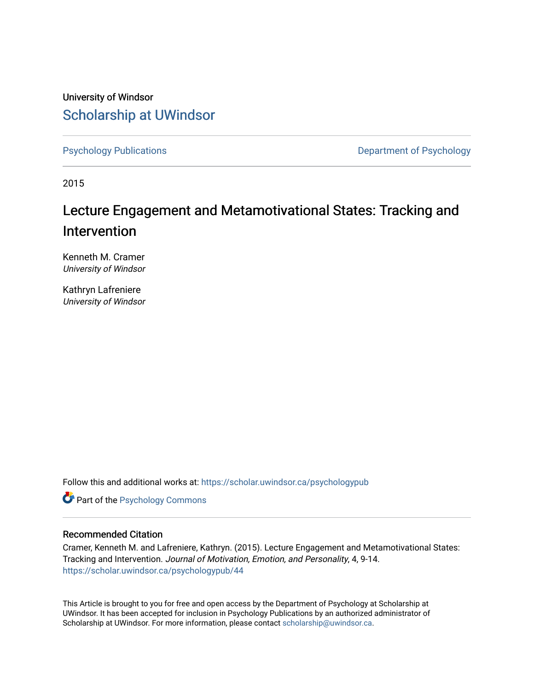University of Windsor [Scholarship at UWindsor](https://scholar.uwindsor.ca/) 

[Psychology Publications](https://scholar.uwindsor.ca/psychologypub) **Department of Psychology** 

2015

# Lecture Engagement and Metamotivational States: Tracking and Intervention

Kenneth M. Cramer University of Windsor

Kathryn Lafreniere University of Windsor

Follow this and additional works at: [https://scholar.uwindsor.ca/psychologypub](https://scholar.uwindsor.ca/psychologypub?utm_source=scholar.uwindsor.ca%2Fpsychologypub%2F44&utm_medium=PDF&utm_campaign=PDFCoverPages) 

**Part of the Psychology Commons** 

## Recommended Citation

Cramer, Kenneth M. and Lafreniere, Kathryn. (2015). Lecture Engagement and Metamotivational States: Tracking and Intervention. Journal of Motivation, Emotion, and Personality, 4, 9-14. [https://scholar.uwindsor.ca/psychologypub/44](https://scholar.uwindsor.ca/psychologypub/44?utm_source=scholar.uwindsor.ca%2Fpsychologypub%2F44&utm_medium=PDF&utm_campaign=PDFCoverPages)

This Article is brought to you for free and open access by the Department of Psychology at Scholarship at UWindsor. It has been accepted for inclusion in Psychology Publications by an authorized administrator of Scholarship at UWindsor. For more information, please contact [scholarship@uwindsor.ca.](mailto:scholarship@uwindsor.ca)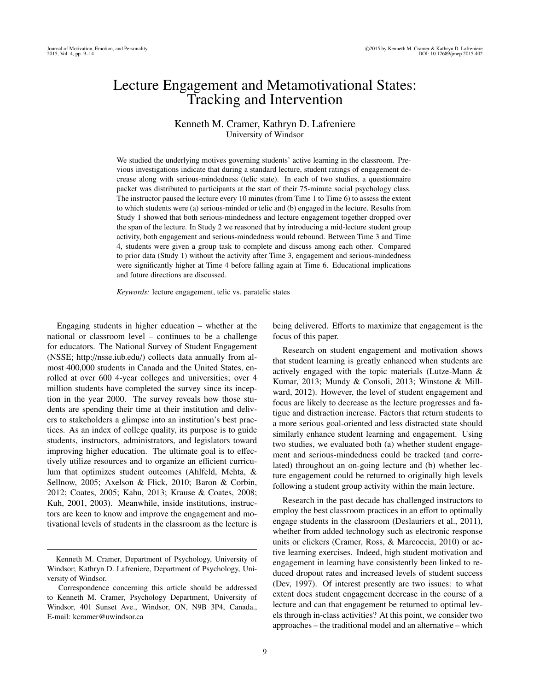# Lecture Engagement and Metamotivational States: Tracking and Intervention

### Kenneth M. Cramer, Kathryn D. Lafreniere University of Windsor

We studied the underlying motives governing students' active learning in the classroom. Previous investigations indicate that during a standard lecture, student ratings of engagement decrease along with serious-mindedness (telic state). In each of two studies, a questionnaire packet was distributed to participants at the start of their 75-minute social psychology class. The instructor paused the lecture every 10 minutes (from Time 1 to Time 6) to assess the extent to which students were (a) serious-minded or telic and (b) engaged in the lecture. Results from Study 1 showed that both serious-mindedness and lecture engagement together dropped over the span of the lecture. In Study 2 we reasoned that by introducing a mid-lecture student group activity, both engagement and serious-mindedness would rebound. Between Time 3 and Time 4, students were given a group task to complete and discuss among each other. Compared to prior data (Study 1) without the activity after Time 3, engagement and serious-mindedness were significantly higher at Time 4 before falling again at Time 6. Educational implications and future directions are discussed.

*Keywords:* lecture engagement, telic vs. paratelic states

Engaging students in higher education – whether at the national or classroom level – continues to be a challenge for educators. The National Survey of Student Engagement (NSSE; http://nsse.iub.edu/) collects data annually from almost 400,000 students in Canada and the United States, enrolled at over 600 4-year colleges and universities; over 4 million students have completed the survey since its inception in the year 2000. The survey reveals how those students are spending their time at their institution and delivers to stakeholders a glimpse into an institution's best practices. As an index of college quality, its purpose is to guide students, instructors, administrators, and legislators toward improving higher education. The ultimate goal is to effectively utilize resources and to organize an efficient curriculum that optimizes student outcomes (Ahlfeld, Mehta, & Sellnow, 2005; Axelson & Flick, 2010; Baron & Corbin, 2012; Coates, 2005; Kahu, 2013; Krause & Coates, 2008; Kuh, 2001, 2003). Meanwhile, inside institutions, instructors are keen to know and improve the engagement and motivational levels of students in the classroom as the lecture is

being delivered. Efforts to maximize that engagement is the focus of this paper.

Research on student engagement and motivation shows that student learning is greatly enhanced when students are actively engaged with the topic materials (Lutze-Mann & Kumar, 2013; Mundy & Consoli, 2013; Winstone & Millward, 2012). However, the level of student engagement and focus are likely to decrease as the lecture progresses and fatigue and distraction increase. Factors that return students to a more serious goal-oriented and less distracted state should similarly enhance student learning and engagement. Using two studies, we evaluated both (a) whether student engagement and serious-mindedness could be tracked (and correlated) throughout an on-going lecture and (b) whether lecture engagement could be returned to originally high levels following a student group activity within the main lecture.

Research in the past decade has challenged instructors to employ the best classroom practices in an effort to optimally engage students in the classroom (Deslauriers et al., 2011), whether from added technology such as electronic response units or clickers (Cramer, Ross, & Marcoccia, 2010) or active learning exercises. Indeed, high student motivation and engagement in learning have consistently been linked to reduced dropout rates and increased levels of student success (Dev, 1997). Of interest presently are two issues: to what extent does student engagement decrease in the course of a lecture and can that engagement be returned to optimal levels through in-class activities? At this point, we consider two approaches – the traditional model and an alternative – which

Kenneth M. Cramer, Department of Psychology, University of Windsor; Kathryn D. Lafreniere, Department of Psychology, University of Windsor.

Correspondence concerning this article should be addressed to Kenneth M. Cramer, Psychology Department, University of Windsor, 401 Sunset Ave., Windsor, ON, N9B 3P4, Canada., E-mail: kcramer@uwindsor.ca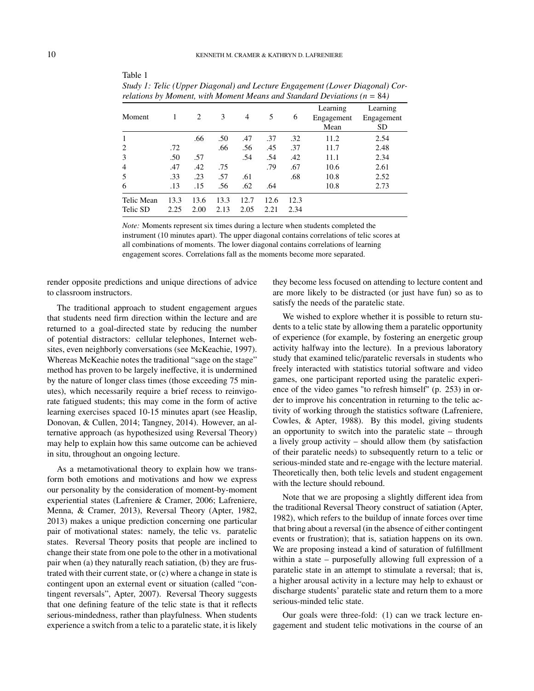| Moment                 | 1            | 2            | 3            | $\overline{4}$ | 5            | 6            | Learning<br>Engagement<br>Mean | Learning<br>Engagement<br>SD |
|------------------------|--------------|--------------|--------------|----------------|--------------|--------------|--------------------------------|------------------------------|
| 1                      |              | .66          | .50          | .47            | .37          | .32          | 11.2                           | 2.54                         |
| 2                      | .72          |              | .66          | .56            | .45          | .37          | 11.7                           | 2.48                         |
| 3                      | .50          | .57          |              | .54            | .54          | .42          | 11.1                           | 2.34                         |
| $\overline{4}$         | .47          | .42          | .75          |                | .79          | .67          | 10.6                           | 2.61                         |
| 5                      | .33          | .23          | .57          | .61            |              | .68          | 10.8                           | 2.52                         |
| 6                      | .13          | .15          | .56          | .62            | .64          |              | 10.8                           | 2.73                         |
| Telic Mean<br>Telic SD | 13.3<br>2.25 | 13.6<br>2.00 | 13.3<br>2.13 | 12.7<br>2.05   | 12.6<br>2.21 | 12.3<br>2.34 |                                |                              |

*Study 1: Telic (Upper Diagonal) and Lecture Engagement (Lower Diagonal) Correlations by Moment, with Moment Means and Standard Deviations*  $(n - 84)$ 

*Note:* Moments represent six times during a lecture when students completed the instrument (10 minutes apart). The upper diagonal contains correlations of telic scores at all combinations of moments. The lower diagonal contains correlations of learning engagement scores. Correlations fall as the moments become more separated.

render opposite predictions and unique directions of advice to classroom instructors.

Table 1

The traditional approach to student engagement argues that students need firm direction within the lecture and are returned to a goal-directed state by reducing the number of potential distractors: cellular telephones, Internet websites, even neighborly conversations (see McKeachie, 1997). Whereas McKeachie notes the traditional "sage on the stage" method has proven to be largely ineffective, it is undermined by the nature of longer class times (those exceeding 75 minutes), which necessarily require a brief recess to reinvigorate fatigued students; this may come in the form of active learning exercises spaced 10-15 minutes apart (see Heaslip, Donovan, & Cullen, 2014; Tangney, 2014). However, an alternative approach (as hypothesized using Reversal Theory) may help to explain how this same outcome can be achieved in situ, throughout an ongoing lecture.

As a metamotivational theory to explain how we transform both emotions and motivations and how we express our personality by the consideration of moment-by-moment experiential states (Lafreniere & Cramer, 2006; Lafreniere, Menna, & Cramer, 2013), Reversal Theory (Apter, 1982, 2013) makes a unique prediction concerning one particular pair of motivational states: namely, the telic vs. paratelic states. Reversal Theory posits that people are inclined to change their state from one pole to the other in a motivational pair when (a) they naturally reach satiation, (b) they are frustrated with their current state, or (c) where a change in state is contingent upon an external event or situation (called "contingent reversals", Apter, 2007). Reversal Theory suggests that one defining feature of the telic state is that it reflects serious-mindedness, rather than playfulness. When students experience a switch from a telic to a paratelic state, it is likely they become less focused on attending to lecture content and are more likely to be distracted (or just have fun) so as to satisfy the needs of the paratelic state.

We wished to explore whether it is possible to return students to a telic state by allowing them a paratelic opportunity of experience (for example, by fostering an energetic group activity halfway into the lecture). In a previous laboratory study that examined telic/paratelic reversals in students who freely interacted with statistics tutorial software and video games, one participant reported using the paratelic experience of the video games "to refresh himself" (p. 253) in order to improve his concentration in returning to the telic activity of working through the statistics software (Lafreniere, Cowles, & Apter, 1988). By this model, giving students an opportunity to switch into the paratelic state – through a lively group activity – should allow them (by satisfaction of their paratelic needs) to subsequently return to a telic or serious-minded state and re-engage with the lecture material. Theoretically then, both telic levels and student engagement with the lecture should rebound.

Note that we are proposing a slightly different idea from the traditional Reversal Theory construct of satiation (Apter, 1982), which refers to the buildup of innate forces over time that bring about a reversal (in the absence of either contingent events or frustration); that is, satiation happens on its own. We are proposing instead a kind of saturation of fulfillment within a state – purposefully allowing full expression of a paratelic state in an attempt to stimulate a reversal; that is, a higher arousal activity in a lecture may help to exhaust or discharge students' paratelic state and return them to a more serious-minded telic state.

Our goals were three-fold: (1) can we track lecture engagement and student telic motivations in the course of an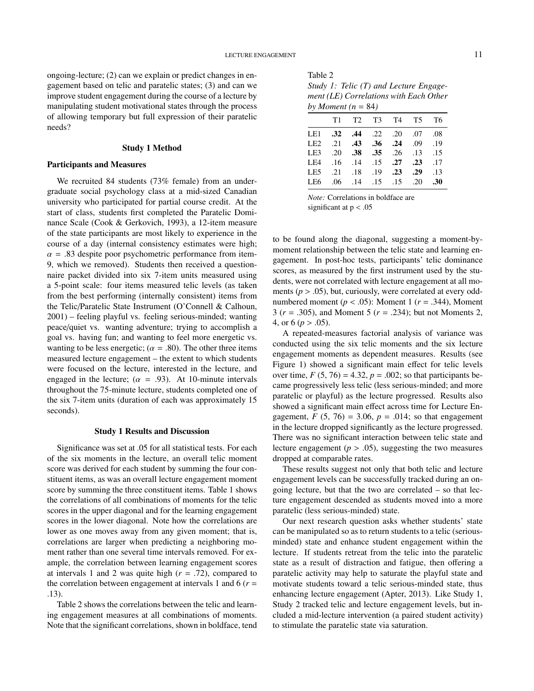ongoing-lecture; (2) can we explain or predict changes in engagement based on telic and paratelic states; (3) and can we improve student engagement during the course of a lecture by manipulating student motivational states through the process of allowing temporary but full expression of their paratelic needs?

#### Study 1 Method

#### Participants and Measures

We recruited 84 students (73% female) from an undergraduate social psychology class at a mid-sized Canadian university who participated for partial course credit. At the start of class, students first completed the Paratelic Dominance Scale (Cook & Gerkovich, 1993), a 12-item measure of the state participants are most likely to experience in the course of a day (internal consistency estimates were high;  $\alpha$  = .83 despite poor psychometric performance from item-9, which we removed). Students then received a questionnaire packet divided into six 7-item units measured using a 5-point scale: four items measured telic levels (as taken from the best performing (internally consistent) items from the Telic/Paratelic State Instrument (O'Connell & Calhoun, 2001) – feeling playful vs. feeling serious-minded; wanting peace/quiet vs. wanting adventure; trying to accomplish a goal vs. having fun; and wanting to feel more energetic vs. wanting to be less energetic; ( $\alpha = .80$ ). The other three items measured lecture engagement – the extent to which students were focused on the lecture, interested in the lecture, and engaged in the lecture; ( $\alpha$  = .93). At 10-minute intervals throughout the 75-minute lecture, students completed one of the six 7-item units (duration of each was approximately 15 seconds).

#### Study 1 Results and Discussion

Significance was set at .05 for all statistical tests. For each of the six moments in the lecture, an overall telic moment score was derived for each student by summing the four constituent items, as was an overall lecture engagement moment score by summing the three constituent items. Table 1 shows the correlations of all combinations of moments for the telic scores in the upper diagonal and for the learning engagement scores in the lower diagonal. Note how the correlations are lower as one moves away from any given moment; that is, correlations are larger when predicting a neighboring moment rather than one several time intervals removed. For example, the correlation between learning engagement scores at intervals 1 and 2 was quite high (*r* = .72), compared to the correlation between engagement at intervals 1 and 6  $(r =$ .13).

Table 2 shows the correlations between the telic and learning engagement measures at all combinations of moments. Note that the significant correlations, shown in boldface, tend

| Table 2 |                                          |
|---------|------------------------------------------|
|         | Study 1: Telic $(T)$ and Lecture Engage- |
|         | ment (LE) Correlations with Each Other   |
|         | by Moment $(n - 84)$                     |

| $UY$ <i>informent</i> $\mu - \sigma$ |                                               |  |  |                   |  |  |  |  |
|--------------------------------------|-----------------------------------------------|--|--|-------------------|--|--|--|--|
|                                      |                                               |  |  | T1 T2 T3 T4 T5 T6 |  |  |  |  |
|                                      | 08. 07. 02. 22. <b>44. 32. 144</b>            |  |  |                   |  |  |  |  |
|                                      | 19. 19. <b>43. 36. 36.</b> PHz. 24. 24.       |  |  |                   |  |  |  |  |
|                                      | LE3 .20 .38 .35 .26 .13 .15                   |  |  |                   |  |  |  |  |
|                                      | 17. <b>23. 27. 15.</b> 14. 15. <b>16.</b>     |  |  |                   |  |  |  |  |
|                                      | 13. <b>29. 23. 29.</b> 18. 19. <b>23.</b> 29. |  |  |                   |  |  |  |  |
|                                      | <b>15</b> .06 .14 .15 .15 .20 .30             |  |  |                   |  |  |  |  |
|                                      |                                               |  |  |                   |  |  |  |  |

*Note:* Correlations in boldface are significant at  $p < .05$ 

to be found along the diagonal, suggesting a moment-bymoment relationship between the telic state and learning engagement. In post-hoc tests, participants' telic dominance scores, as measured by the first instrument used by the students, were not correlated with lecture engagement at all moments ( $p > .05$ ), but, curiously, were correlated at every oddnumbered moment ( $p < .05$ ): Moment 1 ( $r = .344$ ), Moment 3 (*r* = .305), and Moment 5 (*r* = .234); but not Moments 2, 4, or 6 ( $p > .05$ ).

A repeated-measures factorial analysis of variance was conducted using the six telic moments and the six lecture engagement moments as dependent measures. Results (see Figure 1) showed a significant main effect for telic levels over time,  $F(5, 76) = 4.32$ ,  $p = .002$ ; so that participants became progressively less telic (less serious-minded; and more paratelic or playful) as the lecture progressed. Results also showed a significant main effect across time for Lecture Engagement,  $F(5, 76) = 3.06$ ,  $p = .014$ ; so that engagement in the lecture dropped significantly as the lecture progressed. There was no significant interaction between telic state and lecture engagement ( $p > .05$ ), suggesting the two measures dropped at comparable rates.

These results suggest not only that both telic and lecture engagement levels can be successfully tracked during an ongoing lecture, but that the two are correlated – so that lecture engagement descended as students moved into a more paratelic (less serious-minded) state.

Our next research question asks whether students' state can be manipulated so as to return students to a telic (seriousminded) state and enhance student engagement within the lecture. If students retreat from the telic into the paratelic state as a result of distraction and fatigue, then offering a paratelic activity may help to saturate the playful state and motivate students toward a telic serious-minded state, thus enhancing lecture engagement (Apter, 2013). Like Study 1, Study 2 tracked telic and lecture engagement levels, but included a mid-lecture intervention (a paired student activity) to stimulate the paratelic state via saturation.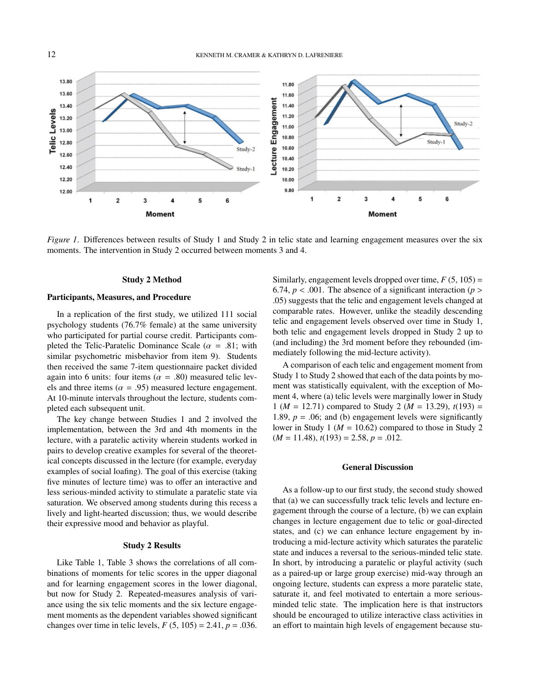

*Figure 1*. Differences between results of Study 1 and Study 2 in telic state and learning engagement measures over the six moments. The intervention in Study 2 occurred between moments 3 and 4.

#### Study 2 Method

#### Participants, Measures, and Procedure

In a replication of the first study, we utilized 111 social psychology students (76.7% female) at the same university who participated for partial course credit. Participants completed the Telic-Paratelic Dominance Scale ( $\alpha$  = .81; with similar psychometric misbehavior from item 9). Students then received the same 7-item questionnaire packet divided again into 6 units: four items ( $\alpha = .80$ ) measured telic levels and three items ( $\alpha$  = .95) measured lecture engagement. At 10-minute intervals throughout the lecture, students completed each subsequent unit.

The key change between Studies 1 and 2 involved the implementation, between the 3rd and 4th moments in the lecture, with a paratelic activity wherein students worked in pairs to develop creative examples for several of the theoretical concepts discussed in the lecture (for example, everyday examples of social loafing). The goal of this exercise (taking five minutes of lecture time) was to offer an interactive and less serious-minded activity to stimulate a paratelic state via saturation. We observed among students during this recess a lively and light-hearted discussion; thus, we would describe their expressive mood and behavior as playful.

#### Study 2 Results

Like Table 1, Table 3 shows the correlations of all combinations of moments for telic scores in the upper diagonal and for learning engagement scores in the lower diagonal, but now for Study 2. Repeated-measures analysis of variance using the six telic moments and the six lecture engagement moments as the dependent variables showed significant changes over time in telic levels,  $F(5, 105) = 2.41$ ,  $p = .036$ .

Similarly, engagement levels dropped over time,  $F(5, 105) =$ 6.74,  $p < .001$ . The absence of a significant interaction ( $p >$ .05) suggests that the telic and engagement levels changed at comparable rates. However, unlike the steadily descending telic and engagement levels observed over time in Study 1, both telic and engagement levels dropped in Study 2 up to (and including) the 3rd moment before they rebounded (immediately following the mid-lecture activity).

A comparison of each telic and engagement moment from Study 1 to Study 2 showed that each of the data points by moment was statistically equivalent, with the exception of Moment 4, where (a) telic levels were marginally lower in Study 1 ( $M = 12.71$ ) compared to Study 2 ( $M = 13.29$ ),  $t(193) =$ 1.89,  $p = 0.06$ ; and (b) engagement levels were significantly lower in Study 1 ( $M = 10.62$ ) compared to those in Study 2  $(M = 11.48), t(193) = 2.58, p = .012.$ 

#### General Discussion

As a follow-up to our first study, the second study showed that (a) we can successfully track telic levels and lecture engagement through the course of a lecture, (b) we can explain changes in lecture engagement due to telic or goal-directed states, and (c) we can enhance lecture engagement by introducing a mid-lecture activity which saturates the paratelic state and induces a reversal to the serious-minded telic state. In short, by introducing a paratelic or playful activity (such as a paired-up or large group exercise) mid-way through an ongoing lecture, students can express a more paratelic state, saturate it, and feel motivated to entertain a more seriousminded telic state. The implication here is that instructors should be encouraged to utilize interactive class activities in an effort to maintain high levels of engagement because stu-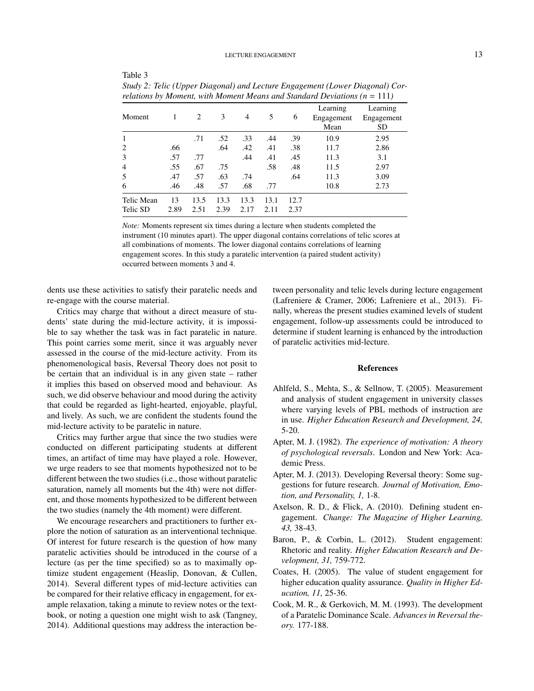#### LECTURE ENGAGEMENT 13

| relations by Moment, with Moment Means and Standard Deviations ( $n = 111$ ) |      |      |      |      |      |      |                                |                                     |
|------------------------------------------------------------------------------|------|------|------|------|------|------|--------------------------------|-------------------------------------|
| Moment                                                                       | 1    | 2    | 3    | 4    | 5    | 6    | Learning<br>Engagement<br>Mean | Learning<br>Engagement<br><b>SD</b> |
| 1                                                                            |      | .71  | .52  | .33  | .44  | .39  | 10.9                           | 2.95                                |
| 2                                                                            | .66  |      | .64  | .42  | .41  | .38  | 11.7                           | 2.86                                |
| 3                                                                            | .57  | .77  |      | .44  | .41  | .45  | 11.3                           | 3.1                                 |
| $\overline{4}$                                                               | .55  | .67  | .75  |      | .58  | .48  | 11.5                           | 2.97                                |
| 5                                                                            | .47  | .57  | .63  | .74  |      | .64  | 11.3                           | 3.09                                |
| 6                                                                            | .46  | .48  | .57  | .68  | .77  |      | 10.8                           | 2.73                                |
| Telic Mean                                                                   | 13   | 13.5 | 13.3 | 13.3 | 13.1 | 12.7 |                                |                                     |
| Telic SD                                                                     | 2.89 | 2.51 | 2.39 | 2.17 | 2.11 | 2.37 |                                |                                     |

*Study 2: Telic (Upper Diagonal) and Lecture Engagement (Lower Diagonal) Correlations by Moment, with Moment Means and Standard Deviations (n* = 111*)*

*Note:* Moments represent six times during a lecture when students completed the instrument (10 minutes apart). The upper diagonal contains correlations of telic scores at all combinations of moments. The lower diagonal contains correlations of learning engagement scores. In this study a paratelic intervention (a paired student activity) occurred between moments 3 and 4.

dents use these activities to satisfy their paratelic needs and re-engage with the course material.

Table 3

Critics may charge that without a direct measure of students' state during the mid-lecture activity, it is impossible to say whether the task was in fact paratelic in nature. This point carries some merit, since it was arguably never assessed in the course of the mid-lecture activity. From its phenomenological basis, Reversal Theory does not posit to be certain that an individual is in any given state – rather it implies this based on observed mood and behaviour. As such, we did observe behaviour and mood during the activity that could be regarded as light-hearted, enjoyable, playful, and lively. As such, we are confident the students found the mid-lecture activity to be paratelic in nature.

Critics may further argue that since the two studies were conducted on different participating students at different times, an artifact of time may have played a role. However, we urge readers to see that moments hypothesized not to be different between the two studies (i.e., those without paratelic saturation, namely all moments but the 4th) were not different, and those moments hypothesized to be different between the two studies (namely the 4th moment) were different.

We encourage researchers and practitioners to further explore the notion of saturation as an interventional technique. Of interest for future research is the question of how many paratelic activities should be introduced in the course of a lecture (as per the time specified) so as to maximally optimize student engagement (Heaslip, Donovan, & Cullen, 2014). Several different types of mid-lecture activities can be compared for their relative efficacy in engagement, for example relaxation, taking a minute to review notes or the textbook, or noting a question one might wish to ask (Tangney, 2014). Additional questions may address the interaction between personality and telic levels during lecture engagement (Lafreniere & Cramer, 2006; Lafreniere et al., 2013). Finally, whereas the present studies examined levels of student engagement, follow-up assessments could be introduced to determine if student learning is enhanced by the introduction of paratelic activities mid-lecture.

#### References

- Ahlfeld, S., Mehta, S., & Sellnow, T. (2005). Measurement and analysis of student engagement in university classes where varying levels of PBL methods of instruction are in use. *Higher Education Research and Development, 24,* 5-20.
- Apter, M. J. (1982). *The experience of motivation: A theory of psychological reversals*. London and New York: Academic Press.
- Apter, M. J. (2013). Developing Reversal theory: Some suggestions for future research. *Journal of Motivation, Emotion, and Personality, 1,* 1-8.
- Axelson, R. D., & Flick, A. (2010). Defining student engagement. *Change: The Magazine of Higher Learning, 43,* 38-43.
- Baron, P., & Corbin, L. (2012). Student engagement: Rhetoric and reality. *Higher Education Research and Development, 31,* 759-772.
- Coates, H. (2005). The value of student engagement for higher education quality assurance. *Quality in Higher Education, 11,* 25-36.
- Cook, M. R., & Gerkovich, M. M. (1993). The development of a Paratelic Dominance Scale. *Advances in Reversal theory.* 177-188.